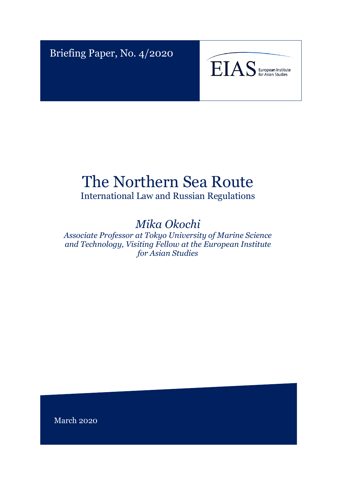Briefing Paper, No. 4/2020



# The Northern Sea Route

International Law and Russian Regulations

## *Mika Okochi*

*Associate Professor at Tokyo University of Marine Science and Technology, Visiting Fellow at the European Institute for Asian Studies*

March 2020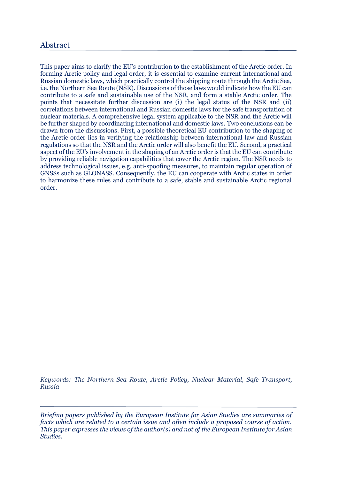### Abstract

This paper aims to clarify the EU's contribution to the establishment of the Arctic order. In forming Arctic policy and legal order, it is essential to examine current international and Russian domestic laws, which practically control the shipping route through the Arctic Sea, i.e. the Northern Sea Route (NSR). Discussions of those laws would indicate how the EU can contribute to a safe and sustainable use of the NSR, and form a stable Arctic order. The points that necessitate further discussion are (i) the legal status of the NSR and (ii) correlations between international and Russian domestic laws for the safe transportation of nuclear materials. A comprehensive legal system applicable to the NSR and the Arctic will be further shaped by coordinating international and domestic laws. Two conclusions can be drawn from the discussions. First, a possible theoretical EU contribution to the shaping of the Arctic order lies in verifying the relationship between international law and Russian regulations so that the NSR and the Arctic order will also benefit the EU. Second, a practical aspect of the EU's involvement in the shaping of an Arctic order is that the EU can contribute by providing reliable navigation capabilities that cover the Arctic region. The NSR needs to address technological issues, e.g. anti-spoofing measures, to maintain regular operation of GNSSs such as GLONASS. Consequently, the EU can cooperate with Arctic states in order to harmonize these rules and contribute to a safe, stable and sustainable Arctic regional order.

*Keywords: The Northern Sea Route, Arctic Policy, Nuclear Material, Safe Transport, Russia*

*Briefing papers published by the European Institute for Asian Studies are summaries of facts which are related to a certain issue and often include a proposed course of action. This paper expresses the views of the author(s) and not of the European Institute for Asian Studies.*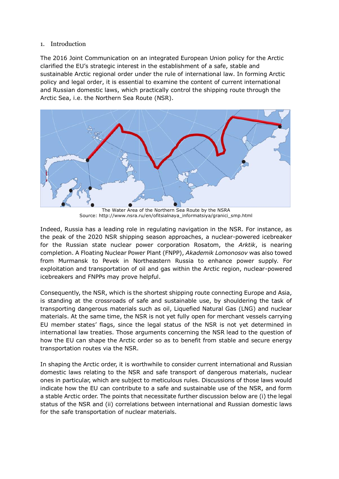#### 1. Introduction

The 2016 Joint Communication on an integrated European Union policy for the Arctic clarified the EU's strategic interest in the establishment of a safe, stable and sustainable Arctic regional order under the rule of international law. In forming Arctic policy and legal order, it is essential to examine the content of current international and Russian domestic laws, which practically control the shipping route through the Arctic Sea, i.e. the Northern Sea Route (NSR).



The Water Area of the Northern Sea Route by the NSRA Source: http://www.nsra.ru/en/ofitsialnaya\_informatsiya/granici\_smp.html

Indeed, Russia has a leading role in regulating navigation in the NSR. For instance, as the peak of the 2020 NSR shipping season approaches, a nuclear-powered icebreaker for the Russian state nuclear power corporation Rosatom, the *Arktik*, is nearing completion. A Floating Nuclear Power Plant (FNPP), *Akademik Lomonosov* was also towed from Murmansk to Pevek in Northeastern Russia to enhance power supply. For exploitation and transportation of oil and gas within the Arctic region, nuclear-powered icebreakers and FNPPs may prove helpful.

Consequently, the NSR, which is the shortest shipping route connecting Europe and Asia, is standing at the crossroads of safe and sustainable use, by shouldering the task of transporting dangerous materials such as oil, Liquefied Natural Gas (LNG) and nuclear materials. At the same time, the NSR is not yet fully open for merchant vessels carrying EU member states' flags, since the legal status of the NSR is not yet determined in international law treaties. Those arguments concerning the NSR lead to the question of how the EU can shape the Arctic order so as to benefit from stable and secure energy transportation routes via the NSR.

In shaping the Arctic order, it is worthwhile to consider current international and Russian domestic laws relating to the NSR and safe transport of dangerous materials, nuclear ones in particular, which are subject to meticulous rules. Discussions of those laws would indicate how the EU can contribute to a safe and sustainable use of the NSR, and form a stable Arctic order. The points that necessitate further discussion below are (i) the legal status of the NSR and (ii) correlations between international and Russian domestic laws for the safe transportation of nuclear materials.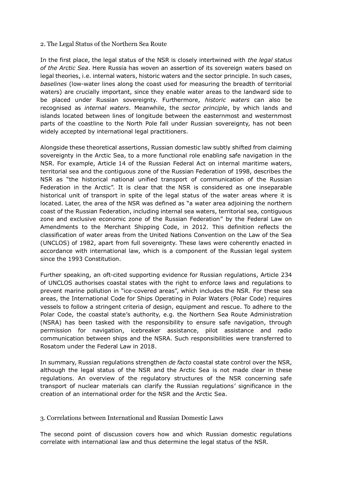#### 2. The Legal Status of the Northern Sea Route

In the first place, the legal status of the NSR is closely intertwined with *the legal status of the Arctic Sea*. Here Russia has woven an assertion of its sovereign waters based on legal theories, i.e. internal waters, historic waters and the sector principle. In such cases, *baselines* (low-water lines along the coast used for measuring the breadth of territorial waters) are crucially important, since they enable water areas to the landward side to be placed under Russian sovereignty. Furthermore, *historic waters* can also be recognised as *internal waters*. Meanwhile, the *sector principle*, by which lands and islands located between lines of longitude between the easternmost and westernmost parts of the coastline to the North Pole fall under Russian sovereignty, has not been widely accepted by international legal practitioners.

Alongside these theoretical assertions, Russian domestic law subtly shifted from claiming sovereignty in the Arctic Sea, to a more functional role enabling safe navigation in the NSR. For example, Article 14 of the Russian Federal Act on internal maritime waters, territorial sea and the contiguous zone of the Russian Federation of 1998, describes the NSR as "the historical national unified transport of communication of the Russian Federation in the Arctic". It is clear that the NSR is considered as one inseparable historical unit of transport in spite of the legal status of the water areas where it is located. Later, the area of the NSR was defined as "a water area adjoining the northern coast of the Russian Federation, including internal sea waters, territorial sea, contiguous zone and exclusive economic zone of the Russian Federation" by the Federal Law on Amendments to the Merchant Shipping Code, in 2012. This definition reflects the classification of water areas from the United Nations Convention on the Law of the Sea (UNCLOS) of 1982, apart from full sovereignty. These laws were coherently enacted in accordance with international law, which is a component of the Russian legal system since the 1993 Constitution.

Further speaking, an oft-cited supporting evidence for Russian regulations, Article 234 of UNCLOS authorises coastal states with the right to enforce laws and regulations to prevent marine pollution in "ice-covered areas", which includes the NSR. For these sea areas, the International Code for Ships Operating in Polar Waters (Polar Code) requires vessels to follow a stringent criteria of design, equipment and rescue. To adhere to the Polar Code, the coastal state's authority, e.g. the Northern Sea Route Administration (NSRA) has been tasked with the responsibility to ensure safe navigation, through permission for navigation, icebreaker assistance, pilot assistance and radio communication between ships and the NSRA. Such responsibilities were transferred to Rosatom under the Federal Law in 2018.

In summary, Russian regulations strengthen *de facto* coastal state control over the NSR, although the legal status of the NSR and the Arctic Sea is not made clear in these regulations. An overview of the regulatory structures of the NSR concerning safe transport of nuclear materials can clarify the Russian regulations' significance in the creation of an international order for the NSR and the Arctic Sea.

#### 3. Correlations between International and Russian Domestic Laws

The second point of discussion covers how and which Russian domestic regulations correlate with international law and thus determine the legal status of the NSR.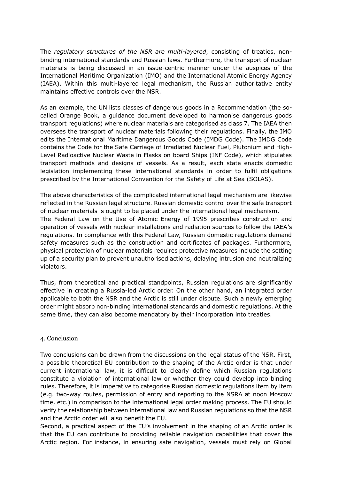The *regulatory structures of the NSR are multi-layered*, consisting of treaties, nonbinding international standards and Russian laws. Furthermore, the transport of nuclear materials is being discussed in an issue-centric manner under the auspices of the International Maritime Organization (IMO) and the International Atomic Energy Agency (IAEA). Within this multi-layered legal mechanism, the Russian authoritative entity maintains effective controls over the NSR.

As an example, the UN lists classes of dangerous goods in a Recommendation (the socalled Orange Book, a guidance document developed to harmonise dangerous goods transport regulations) where nuclear materials are categorised as class 7. The IAEA then oversees the transport of nuclear materials following their regulations. Finally, the IMO edits the International Maritime Dangerous Goods Code (IMDG Code). The IMDG Code contains the Code for the Safe Carriage of Irradiated Nuclear Fuel, Plutonium and High-Level Radioactive Nuclear Waste in Flasks on board Ships (INF Code), which stipulates transport methods and designs of vessels. As a result, each state enacts domestic legislation implementing these international standards in order to fulfil obligations prescribed by the International Convention for the Safety of Life at Sea (SOLAS).

The above characteristics of the complicated international legal mechanism are likewise reflected in the Russian legal structure. Russian domestic control over the safe transport of nuclear materials is ought to be placed under the international legal mechanism. The Federal Law on the Use of Atomic Energy of 1995 prescribes construction and operation of vessels with nuclear installations and radiation sources to follow the IAEA's regulations. In compliance with this Federal Law, Russian domestic regulations demand safety measures such as the construction and certificates of packages. Furthermore, physical protection of nuclear materials requires protective measures include the setting up of a security plan to prevent unauthorised actions, delaying intrusion and neutralizing violators.

Thus, from theoretical and practical standpoints, Russian regulations are significantly effective in creating a Russia-led Arctic order. On the other hand, an integrated order applicable to both the NSR and the Arctic is still under dispute. Such a newly emerging order might absorb non-binding international standards and domestic regulations. At the same time, they can also become mandatory by their incorporation into treaties.

#### 4. Conclusion

Two conclusions can be drawn from the discussions on the legal status of the NSR. First, a possible theoretical EU contribution to the shaping of the Arctic order is that under current international law, it is difficult to clearly define which Russian regulations constitute a violation of international law or whether they could develop into binding rules. Therefore, it is imperative to categorise Russian domestic regulations item by item (e.g. two-way routes, permission of entry and reporting to the NSRA at noon Moscow time, etc.) in comparison to the international legal order making process. The EU should verify the relationship between international law and Russian regulations so that the NSR and the Arctic order will also benefit the EU.

Second, a practical aspect of the EU's involvement in the shaping of an Arctic order is that the EU can contribute to providing reliable navigation capabilities that cover the Arctic region. For instance, in ensuring safe navigation, vessels must rely on Global